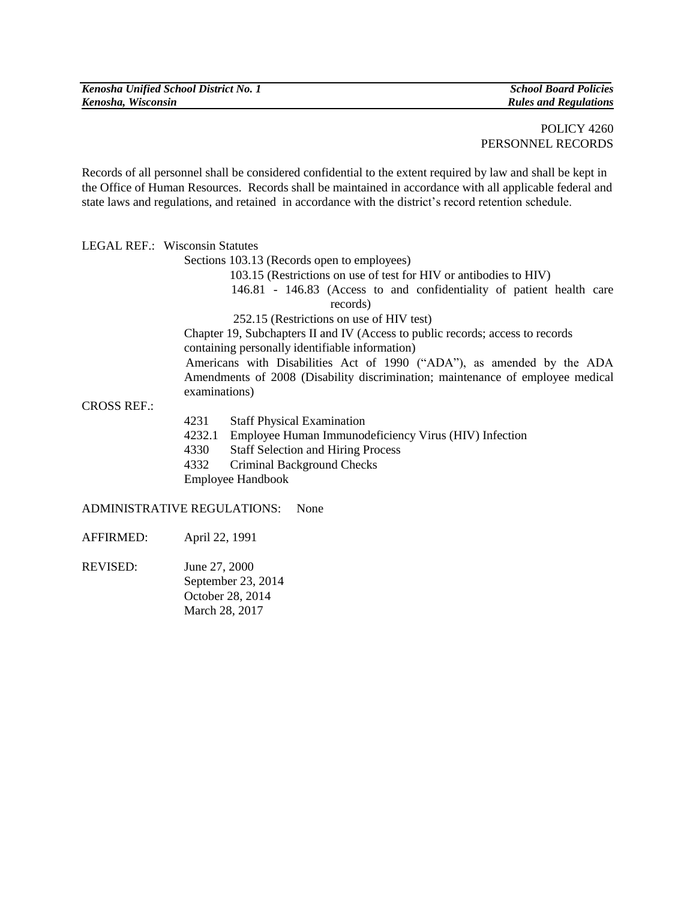| Kenosha Unified School District No. 1 |
|---------------------------------------|
| Kenosha, Wisconsin                    |

*Kenosha Unified School District No. 1 School Board Policies Kenosha, Wisconsin Rules and Regulations*

Records of all personnel shall be considered confidential to the extent required by law and shall be kept in the Office of Human Resources. Records shall be maintained in accordance with all applicable federal and state laws and regulations, and retained in accordance with the district's record retention schedule.

LEGAL REF.: Wisconsin Statutes

Sections 103.13 (Records open to employees)

103.15 (Restrictions on use of test for HIV or antibodies to HIV)

 146.81 - 146.83 (Access to and confidentiality of patient health care records)

252.15 (Restrictions on use of HIV test)

Chapter 19, Subchapters II and IV (Access to public records; access to records containing personally identifiable information)

 Americans with Disabilities Act of 1990 ("ADA"), as amended by the ADA Amendments of 2008 (Disability discrimination; maintenance of employee medical examinations)

CROSS REF.:

- 4231 Staff Physical Examination
- 4232.1 Employee Human Immunodeficiency Virus (HIV) Infection
- 4330 Staff Selection and Hiring Process
- 4332 Criminal Background Checks

Employee Handbook

## ADMINISTRATIVE REGULATIONS: None

- AFFIRMED: April 22, 1991
- REVISED: June 27, 2000 September 23, 2014 October 28, 2014 March 28, 2017